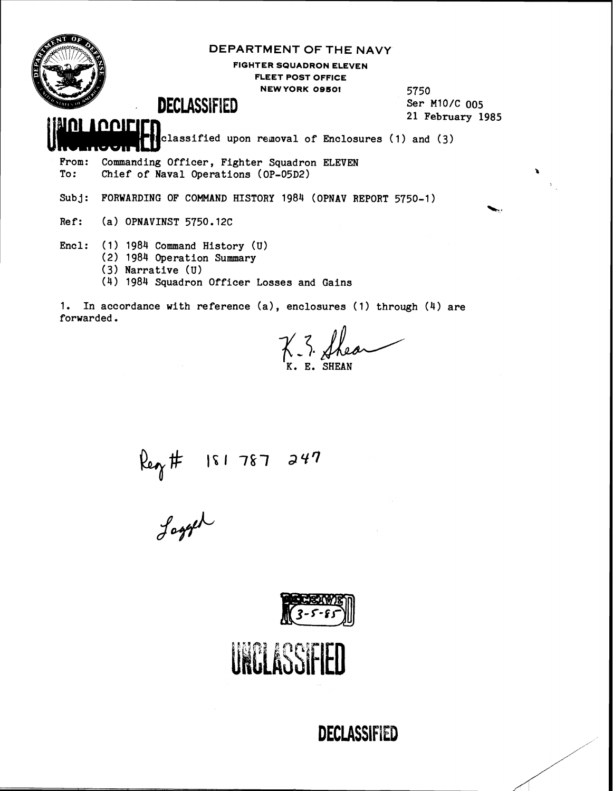

#### **DEPARTMENT OF THE NAVY**

**FIGHTER SQUADRON ELEVEN FLEET POST OFFICE NEW YORK OBSOl** 

5750 Ser M10/C 005 21 **February** 1985

%.,

### , **DECLASSIFIED**

 $\mathbf{H}$  classified upon removal of Enclosures (1) and (

From: Commanding Officer, Fighter Squadron ELEVEN<br>To: Chief of Naval Operations (OP-05D2) Chief of Naval Operations (OP-05D2)

Subj: FORWARDING OF COMMAND HISTORY 1984 (OPNAV REPORT 5750-1)

Ref: (a) OPNAVINST 5750.12C

**IOQITIER** 

- Encl: (1) 1984 Command History (U)
	- **(2)** 1984 Operation Summary
		- (3) Narrative (U)
		- **(4)** 1984 Squadron Officer Losses and Gains

1. In accordance with reference (a), enclosures **(1)** through (4) are forwarded.

 $K. 3.$  Shear

Reg #  $181787247$ <br>Jogger

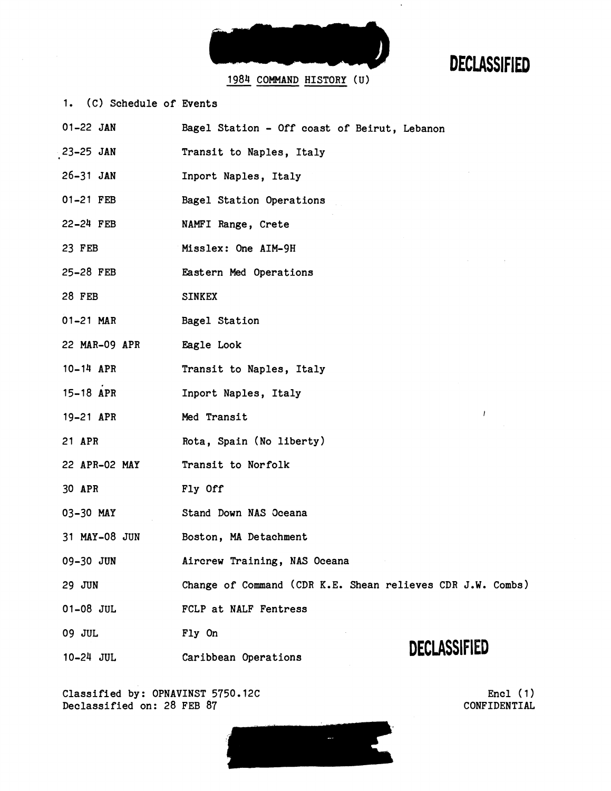

 $\ddot{\phantom{a}}$ 

1984 COMMAND HISTORY (U)

1. (C) Schedule of Events

| $01 - 22$ JAN | Bagel Station - Off coast of Beirut, Lebanon               |                     |
|---------------|------------------------------------------------------------|---------------------|
| 23-25 JAN     | Transit to Naples, Italy                                   |                     |
| $26 - 31$ JAN | Inport Naples, Italy                                       |                     |
| 01-21 FEB     | Bagel Station Operations                                   |                     |
| $22-24$ FEB   | NAMFI Range, Crete                                         |                     |
| 23 FEB        | Misslex: One AIM-9H                                        |                     |
| 25-28 FEB     | Eastern Med Operations                                     |                     |
| <b>28 FEB</b> | <b>SINKEX</b>                                              |                     |
| 01-21 MAR     | Bagel Station                                              |                     |
| 22 MAR-09 APR | Eagle Look                                                 |                     |
| $10-14$ APR   | Transit to Naples, Italy                                   |                     |
| 15-18 APR     | Inport Naples, Italy                                       |                     |
| 19-21 APR     | Med Transit                                                |                     |
| 21 APR        | Rota, Spain (No liberty)                                   |                     |
| 22 APR-02 MAY | Transit to Norfolk                                         |                     |
| 30 APR        | Fly Off                                                    |                     |
| 03-30 MAY     | Stand Down NAS Oceana                                      |                     |
| 31 MAY-08 JUN | Boston, MA Detachment                                      |                     |
| 09-30 JUN     | Aircrew Training, NAS Oceana                               |                     |
| 29 JUN        | Change of Command (CDR K.E. Shean relieves CDR J.W. Combs) |                     |
| 01-08 JUL     | FCLP at NALF Fentress                                      |                     |
| 09 JUL        | Fly On                                                     |                     |
| 10-24 JUL     | Caribbean Operations                                       | <b>DECLASSIFIED</b> |

Classified by: OPNAVINST 5750.12C Declassified on: 28 FEB 87

Encl (1) CONFIDENTIAL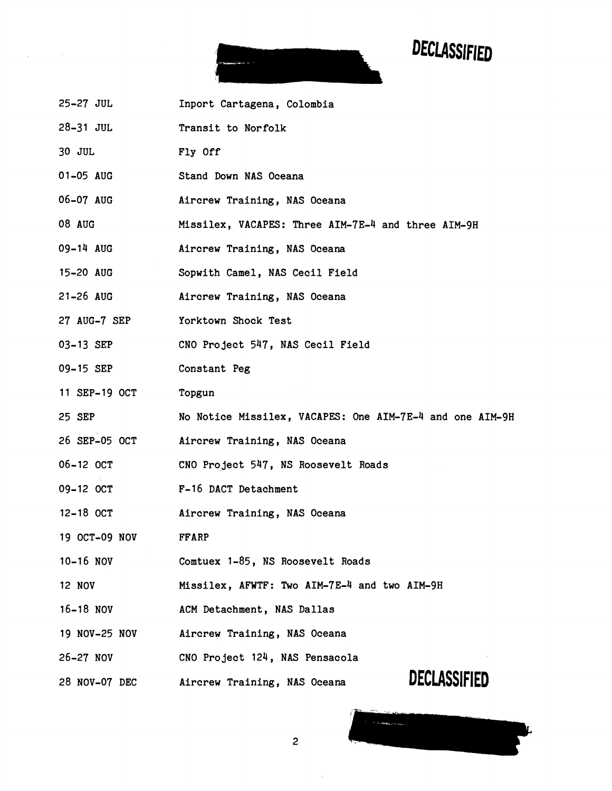

- 25-27 JUL Inport Cartagena, Colombia
- 28-31 JUL Transit to Norfolk
- 30 JUL Fly Off
- 01-05 AUG Stand Down NAS Oceana
- 06-07 AUG Aircrew Training, NAS Oceana
- 08 AUG Missilex, VACAPES: Three AIM-7E-4 and three AIM-9H
- 09-14 AUG Aircrew Training, NAS Oceana
- 15-20 AUG Sopwith Camel, NAS Cecil Field
- 21-26 AUG Aircrew Training, NAS Oceana
- 27 AUG-7 SEP Yorktown Shock Test
- 03-13 SEP CNO Project 547, NAS Cecil Field
- 09-15 SEP Constant Peg
- 11 SEP-19 OCT Topgun
- 25 SEP No Notice Missilex, VACAPES: One AIM-7E-4 and one AIM-9H

 $\overline{c}$ 

- 26 SEP-05 OCT Aircrew Training, NAS Oceana
- 06-12 OCT CNO Project 547, NS Roosevelt Roads
- 09-12 OCT F-16 DACT Detachment
- 12-18 OCT Aircrew Training, NAS Oceana
- 19 OCT-09 NOV FFARP
- 10-16 NOV Comtuex 1-85, NS Roosevelt Roads
- 12 NOV Missilex, AFWTF: Two AIM-7E-4 and two AIM-9H
- 16-18 NOV ACM Detachment, NAS Dallas
- 19 NOV-25 NOV Aircrew Training, NAS Oceana
- 26-27 NOV CNO Project 124, NAS Pensacola
- 28 NOV-07 DEC Aircrew Training, NAS Oceana

**DECLASSIFIED**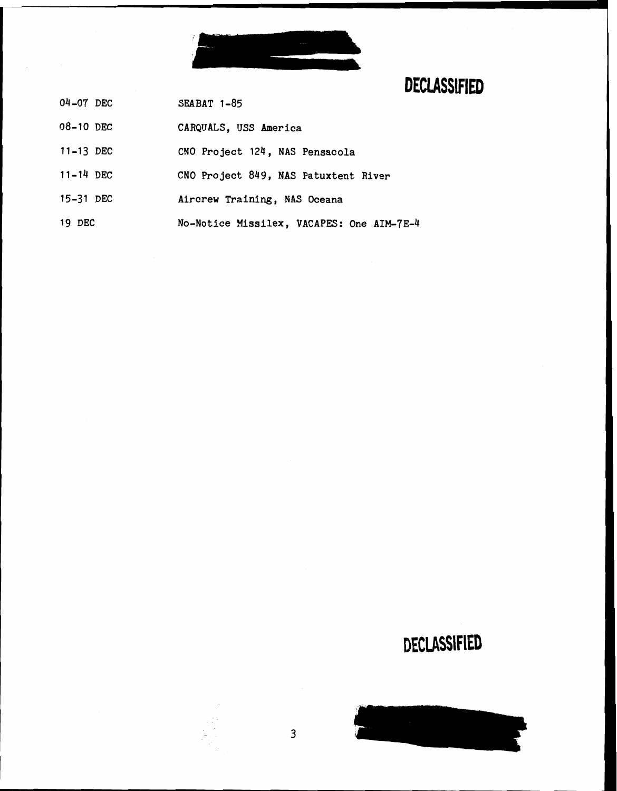

- **SEABAT 1-85 04-07 DEC**
- **08-10 DEC CARQUALS, USS America**
- **11-13 DEC CNO Project 124** , **NAS Pensacola**
- **11-14 DEC CNO Project 849, NAS Patuxtent River**
- **15-31 DEC Aircrew Training, NAS Oceana**
- **19 DEC No-Notice Missilex, VACAPES: One AIM-7E-4**

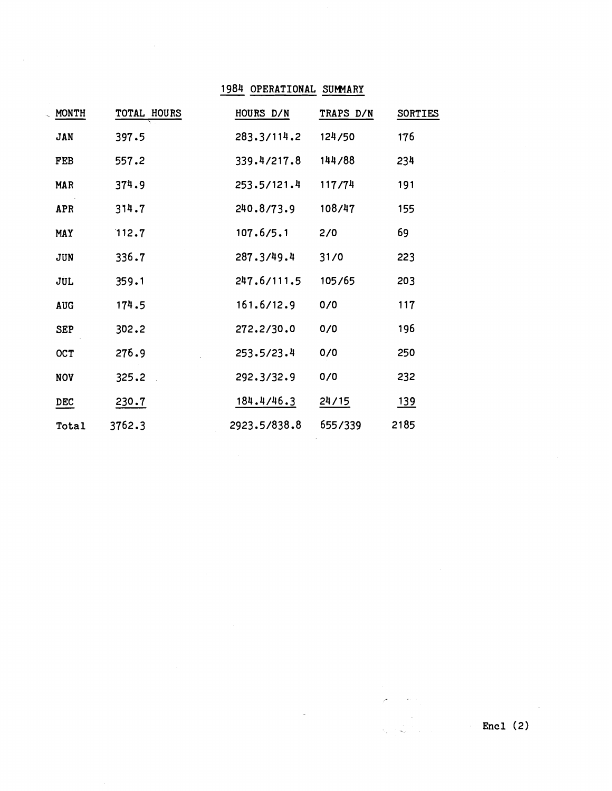### - **1984 OPERATIONAL SUMARY**

| MONTH      | TOTAL HOURS | HOURS D/N    | TRAPS D/N | <b>SORTIES</b> |
|------------|-------------|--------------|-----------|----------------|
| JAN        | 397.5       | 283.3/114.2  | 124/50    | 176            |
| FEB        | 557.2       | 339.4/217.8  | 144/88    | 234            |
| <b>MAR</b> | 374.9       | 253.5/121.4  | 117/74    | 191            |
| APR        | 314.7       | 240.8/73.9   | 108/47    | 155            |
| MAY        | 112.7       | 107.6/5.1    | 2/0       | 69             |
| JUN        | 336.7       | 287.3/49.4   | 31/0      | 223            |
| JUL        | 359.1       | 247.6/111.5  | 105/65    | 203            |
| <b>AUG</b> | 174.5       | 161.6/12.9   | 0/0       | 117            |
| <b>SEP</b> | 302.2       | 272.2/30.0   | 0/0       | 196            |
| OCT        | 276.9       | 253.5/23.4   | 0/0       | 250            |
| <b>NOV</b> | 325.2       | 292.3/32.9   | 0/0       | 232            |
| <b>DEC</b> | 230.7       | 184.4/46.3   | 24/15     | <u>139</u>     |
| Total      | 3762.3      | 2923.5/838.8 | 655/339   | 2185           |

 $\sim$   $\sim$ 

 $\mathcal{L}^{\text{int}}$  and  $\mathcal{L}^{\text{int}}$ 

J.

 $\sim$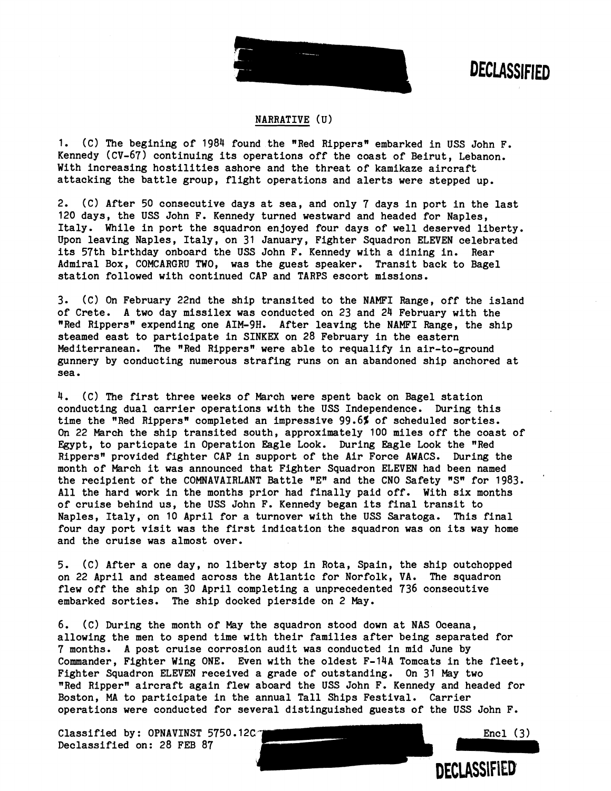

**DECLASSIFIED** 

#### NARRATIVE ( **U)**

1. (C) The begining of 1984 found the "Red Rippers" embarked in USS John F. Kennedy (CV-67) continuing its operations off the coast of Beirut, Lebanon. With increasing hostilities ashore and the threat of kamikaze aircraft attacking the battle group, flight operations and alerts were stepped up.

2. (C) After 50 consecutive days at sea, and only 7 days in port in the last 120 days, the USS John F. Kennedy turned westward and headed for Naples, Italy. While in port the squadron enjoyed four days of well deserved liberty. Upon leaving Naples, Italy, on 31 January, Fighter Squadron ELEVEN celebrated its 57th birthday onboard the USS John F. Kennedy with a dining in. Rear Admiral Box, COMCARGRU TWO, was the guest speaker. Transit back to Bagel station followed with continued CAP and TARPS escort missions.

3. (C) On February 22nd the ship transited to the NAMFI Range, off the island of Crete. A two day missilex was conducted on 23 and 24 February with the "Red Rippers" expending one AIM-9H. After leaving the NAMFI Range, the ship steamed east to participate in SINKEX on 28 February in the eastern Mediterranean. The "Red Rippers" were able to requalify in air-to-ground gunnery by conducting numerous strafing runs on an abandoned ship anchored at sea.

4. (C) The first three weeks of March were spent back on Bagel station conducting dual carrier operations with the USS Independence. During this time the "Red Rippers" completed an impressive 99.6% of scheduled sorties. On 22 March the ship transited south, approximately 100 miles off the coast of Egypt, to particpate in Operation Eagle Look. During Eagle Look the "Red Rippers" provided fighter CAP in support of the Air Force AWACS. During the month of March it was announced that Fighter Squadron ELEVEN had been named the recipient of the COMNAVAIRLANT Battle  $"E"$  and the CNO Safety  $"S"$  for 1983. All the hard work in the months prior had finally paid off. With six months of cruise behind us, the USS John F. Kennedy began its final transit to Naples, Italy, on 10 April for a turnover with the USS Saratoga. This final four day port visit was the first indication the squadron was on its way home and the cruise was almost over.

5. **(C)** After a one day, no liberty stop in Rota, Spain, the ship outchopped on 22 April and steamed across the Atlantic for Norfolk, VA. The squadron flew off the ship on 30 April completing a unprecedented 736 consecutive embarked sorties. The ship docked pierside on 2 May.

6. (C) During the month of May the squadron stood down at NAS Oceana, allowing the men to spend time with their families after being separated for 7 months. A post cruise corrosion audit was conducted in mid June by Commander, Fighter Wing ONE. Even with the oldest F-14A Tomcats in the fleet, Fighter Squadron ELEVEN received a grade of outstanding. On 31 May two "Red Rippern aircraft again flew aboard the USS John F. Kennedy and headed for Boston, MA to participate in the annual Tall Ships Festival. Carrier operations were conducted for several distinguished guests of the USS John F.

Classified by: OPNAVINST 5750.12C  $\sim$  Encl (3) Declassified on: 28 FEB 87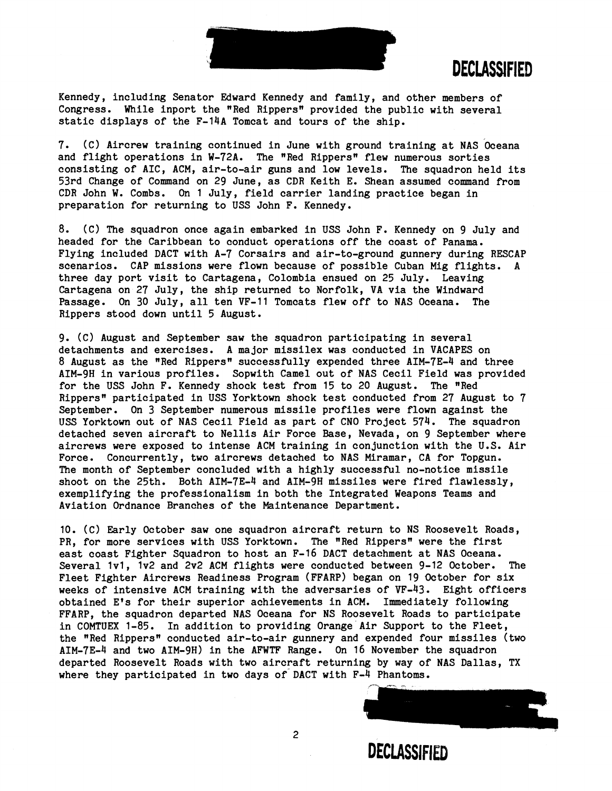

Kennedy, including Senator Edward Kennedy and family, and other members of Congress. While inport the "Red Rippers" provided the public with several static displays of the F-14A Tomcat and tours of the ship.

7. (C) Aircrew training continued in June with ground training at NAS Oceana and flight operations in W-72A. The "Red Rippers" flew numerous sorties consisting of AIC, ACM, air-to-air guns and low levels. The squadron held its 53rd Change of Command on 29 June, as CDR Keith E. Shean assumed command from CDR John W. Combs. On 1 July, field carrier landing practice began in preparation for returning to USS John F. Kennedy.

8. (C) The squadron once again embarked in USS John F. Kennedy on 9 July and headed for the Caribbean to conduct operations off the coast of Panama. Flying included DACT with A-7 Corsairs and air-to-ground gunnery during RESCAP scenarios. CAP missions were flown because of possible Cuban Mig flights. A three day port visit to Cartagena, Colombia ensued on 25 July. Leaving Cartagena on 27 July, the ship returned to Norfolk, VA via the Windward Passage. On 30 July, all ten VF-11 Tomcats flew off to NAS Oceana. The Rippers stood down until 5 August.

9. (C) August and September saw the squadron participating in several detachments and exercises. A major missilex was conducted in VACAPES on 8 August as the "Red Rippers" successfully expended three AIM-7E-4 and three AIM-9H in various profiles. Sopwith Camel out of NAS Cecil Field was provided for the USS John F. Kennedy shock teat from 15 to 20 August. The "Red Rippers" participated in USS Yorktown shock test conducted from 27 August to 7 September. On 3 September numerous missile profiles were flown against the USS Yorktown out of NAS Cecil Field as part of CNO Project 574. The squadron detached seven aircraft to Nellis Air Force Base, Nevada, on 9 September where aircrews were exposed to intense ACM training in conjunction with the U.S. Air Force. Concurrently, two aircrews detached to NAS Miramar, CA for Topgun. The month of September concluded with a highly successful no-notice missile shoot on the 25th. Both AIM-7E-4 and AIM-9H missiles were fired flawlessly, exemplifying the professionalism in both the Integrated Weapons Teams and Aviation Ordnance Branches of the Maintenance Department.

10. (C) Early October saw one squadron aircraft return to NS Roosevelt Roads, PR, for more services with USS Yorktown. The "Red Rippers" were the first east coast Fighter Squadron to host an F-16 DACT detachment at NAS Oceana. Several Ivl, lv2 and 2v2 ACM flights were conducted between 9-12 October. The Fleet Fighter Aircrews Readiness Program (FFARP) began on 19 October for six weeks of intensive ACM training with the adversaries of VF-43. Eight officers obtained E\*s for their superior achievements in ACM. Immediately following FFARP, the squadron departed NAS Oceana for NS Roosevelt Roads to participate in COMTUEX 1-85. In addition to providing Orange Air Support to the Fleet, the "Red Rippers" conducted air-to-air gunnery and expended four missiles (two AIM-7E-4 and two AIM-9H) in the AFWTF Range. On 16 November the squadron departed Roosevelt Roads with two aircraft returning by way of NAS Dallas, TX where they participated in two days of DACT with F-4 Phantoms.

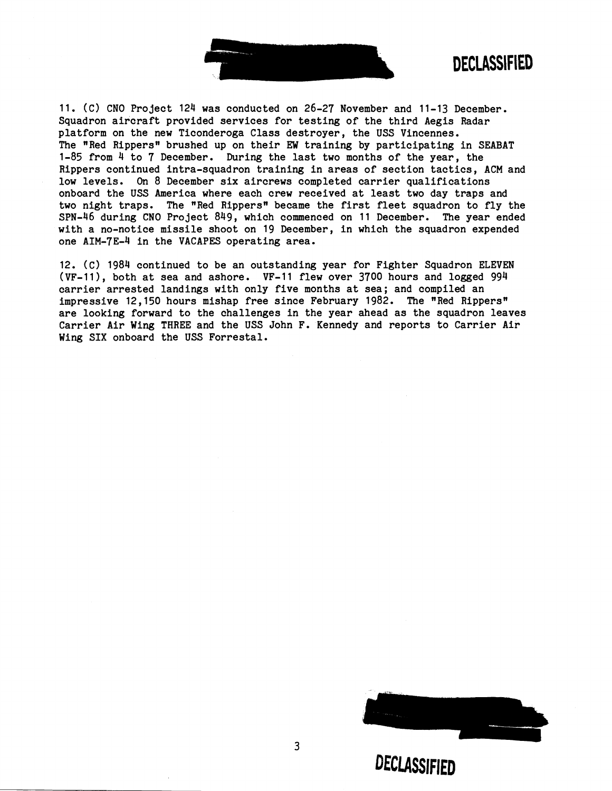

**DECLASSIFIED** 

11. (C) CNO Project 124 was conducted on 26-27 November and 11-13 December. Squadron aircraft provided services for testing of the third Aegis Radar platform on the new Ticonderoga Class destroyer, the USS Vincennes. The "Red Rippersw brushed up on their **EW** training by participating in SEABAT 1-85 from 4 to 7 December. During the last two months of the year, the Rippers continued intra-squadron training in areas of section tactics, ACM and low levels. **On** 8 December six aircrews completed carrier qualifications onboard the USS America where each crew received at least two day traps and two night traps. The "Red Rippers" became the first fleet squadron to fly the SPN-46 during CNO Project 849, which commenced on 11 December. The year ended with a no-notice missile shoot on 19 December, in which the squadron expended one AIM-7E-4 in the VACAPES operating area.

12. (C) 1984 continued to be an outstanding year for Fighter Squadron ELEVEN (VF-111, both at sea and ashore. VF-11 flew over 3700 hours and logged 994 carrier arrested landings with only five months at sea; and compiled an impressive 12,150 hours mishap free since February 1982. The "Red Rippers" are looking forward to the challenges in the year ahead as the squadron leaves Carrier Air Wing THREE and the USS John F. Kennedy and reports to Carrier Air Wing SIX onboard the USS Forrestal.